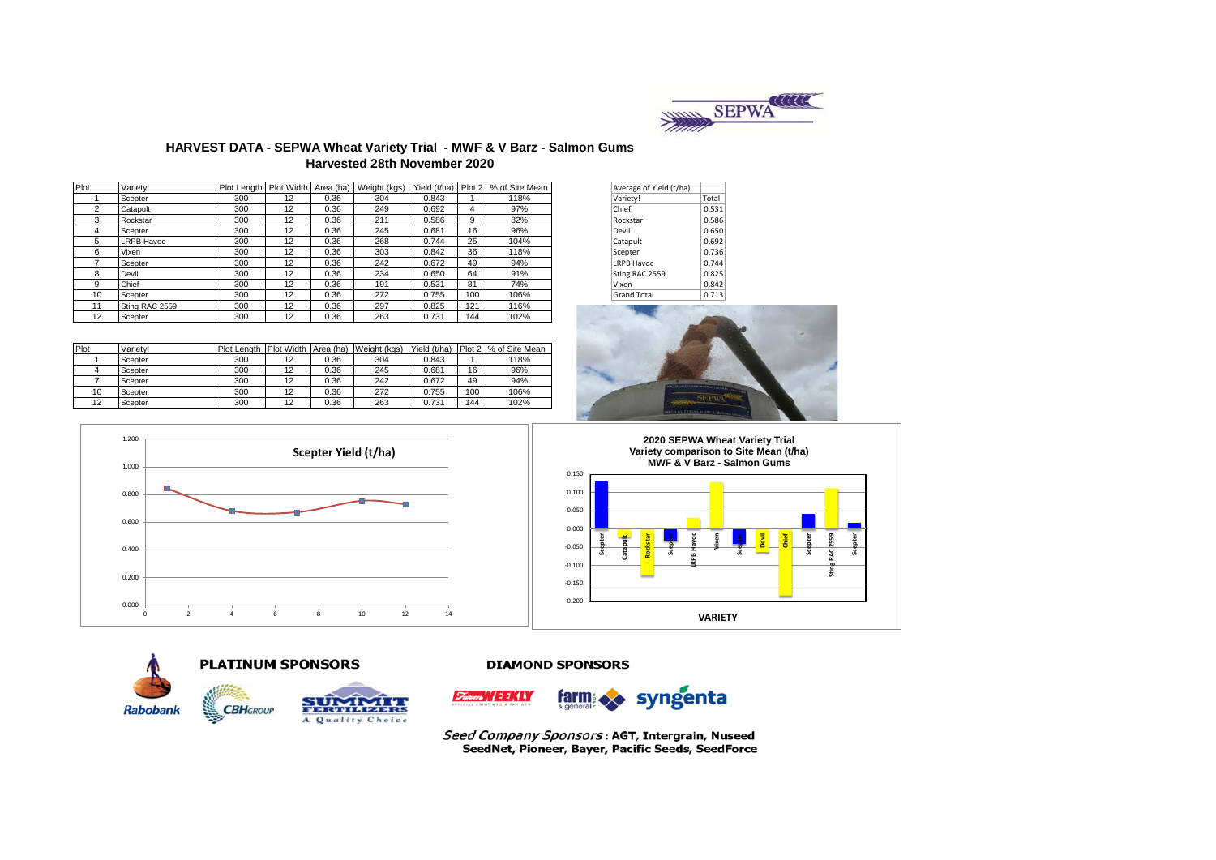

## **HARVEST DATA - SEPWA Wheat Variety Trial - MWF & V Barz - Salmon Gums Harvested 28th November 2020**

| Plot           | Variety!          | Plot Length   Plot Width   Area (ha) |    |      | Weight (kgs) |       |     | Yield (t/ha) Plot 2   % of Site Mean | Average of Yield (t/ha) |       |
|----------------|-------------------|--------------------------------------|----|------|--------------|-------|-----|--------------------------------------|-------------------------|-------|
|                | Scepter           | 300                                  | 12 | 0.36 | 304          | 0.843 |     | 118%                                 | Variety!                | Total |
| $\overline{2}$ | Catapult          | 300                                  | 12 | 0.36 | 249          | 0.692 | 4   | 97%                                  | Chief                   | 0.531 |
| 3              | Rockstar          | 300                                  | 12 | 0.36 | 211          | 0.586 | 9   | 82%                                  | Rockstar                | 0.586 |
|                | Scepter           | 300                                  | 12 | 0.36 | 245          | 0.681 | 16  | 96%                                  | Devil                   | 0.650 |
| 5              | <b>LRPB Havoc</b> | 300                                  | 12 | 0.36 | 268          | 0.744 | 25  | 104%                                 | Catapult                | 0.692 |
| 6              | Vixen             | 300                                  | 12 | 0.36 | 303          | 0.842 | 36  | 118%                                 | Scepter                 | 0.736 |
|                | Scepter           | 300                                  | 12 | 0.36 | 242          | 0.672 | 49  | 94%                                  | <b>LRPB Havoc</b>       | 0.744 |
| 8              | Devil             | 300                                  | 12 | 0.36 | 234          | 0.650 | 64  | 91%                                  | Sting RAC 2559          | 0.825 |
| 9              | Chief             | 300                                  | 12 | 0.36 | 191          | 0.531 | 81  | 74%                                  | Vixen                   | 0.842 |
| 10             | Scepter           | 300                                  | 12 | 0.36 | 272          | 0.755 | 100 | 106%                                 | <b>Grand Total</b>      | 0.713 |
| 11             | Sting RAC 2559    | 300                                  | 12 | 0.36 | 297          | 0.825 | 121 | 116%                                 |                         |       |
| 12             | Scepter           | 300                                  | 12 | 0.36 | 263          | 0.731 | 144 | 102%                                 |                         |       |

| Average of Yield (t/ha) |       |
|-------------------------|-------|
| Variety!                | Total |
| Chief                   | 0.531 |
| Rockstar                | 0.586 |
| Devil                   | 0.650 |
| Catapult                | 0.692 |
| Scepter                 | 0.736 |
| <b>LRPB Havoc</b>       | 0.744 |
| Sting RAC 2559          | 0.825 |
| Vixen                   | 0.842 |
| <b>Grand Total</b>      | 0.713 |



| Plot | Variety! | Plot Length Plot Width Area (ha) |    |      | Weight (kgs) | Yield (t/ha) |     | Plot 2 % of Site Mean |
|------|----------|----------------------------------|----|------|--------------|--------------|-----|-----------------------|
|      | Scepter  | 300                              | 12 | 0.36 | 304          | 0.843        |     | 118%                  |
|      | Scepter  | 300                              | 12 | 0.36 | 245          | 0.681        | 16  | 96%                   |
|      | Scepter  | 300                              | 12 | 0.36 | 242          | 0.672        | 49  | 94%                   |
| 10   | Scepter  | 300                              | 12 | 0.36 | 272          | 0.755        | 100 | 106%                  |
| 12   | Scepter  | 300                              | 12 | 0.36 | 263          | 0.731        | 144 | 102%                  |















syngenta  $T<sub>atom</sub>'/111/11$ farm:

Seed Company Sponsors: AGT, Intergrain, Nuseed SeedNet, Pioneer, Bayer, Pacific Seeds, SeedForce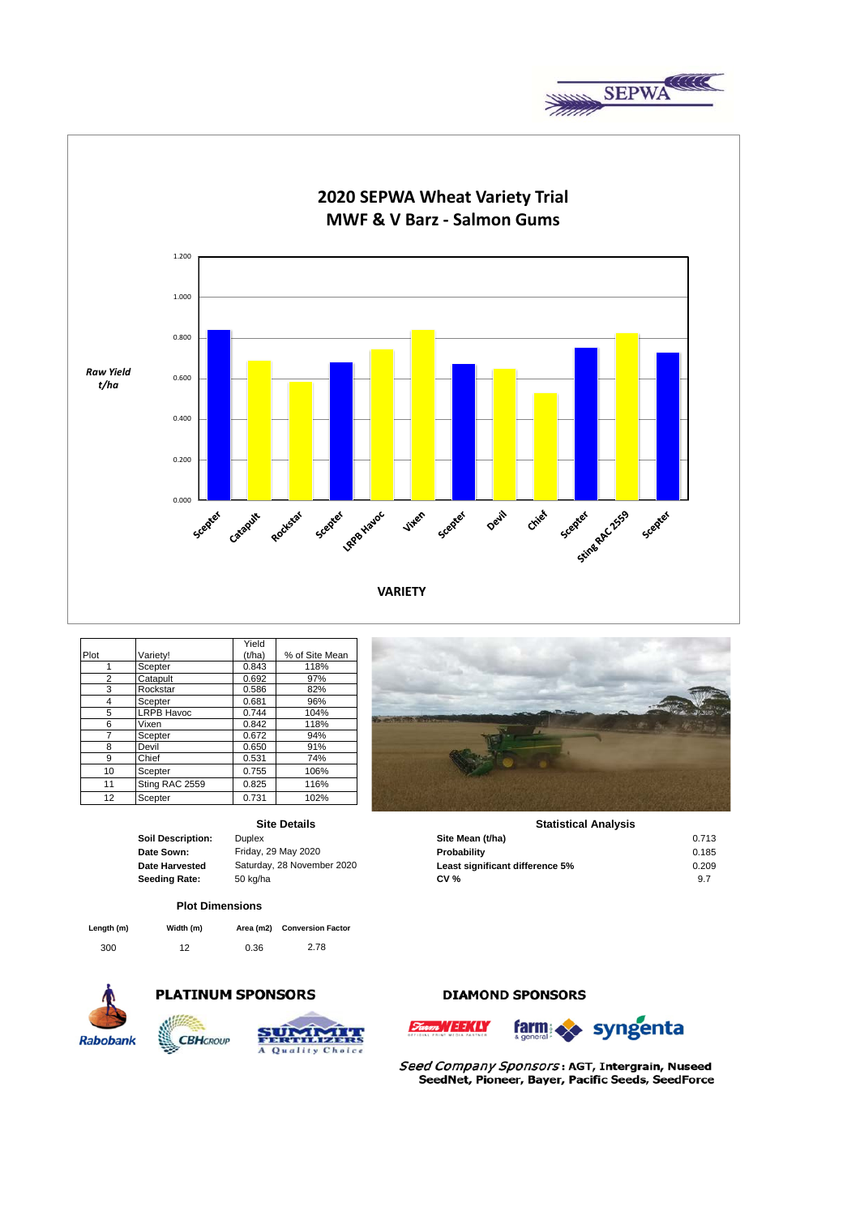



|                   |                   | Yield  |                |
|-------------------|-------------------|--------|----------------|
| Plot              | Variety!          | (t/ha) | % of Site Mean |
|                   | Scepter           | 0.843  | 118%           |
| 2                 | Catapult          | 0.692  | 97%            |
| 3                 | Rockstar          | 0.586  | 82%            |
| 4                 | Scepter           | 0.681  | 96%            |
| 5                 | <b>LRPB Havoc</b> | 0.744  | 104%           |
| 6                 | Vixen             | 0.842  | 118%           |
|                   | Scepter           | 0.672  | 94%            |
| 8                 | Devil             | 0.650  | 91%            |
| 9                 | Chief             | 0.531  | 74%            |
| 10                | Scepter           | 0.755  | 106%           |
| 11                | Sting RAC 2559    | 0.825  | 116%           |
| $12 \overline{ }$ | Scepter           | 0.731  | 102%           |

## **Site Details**

| oil Description: |
|------------------|
| ate Sown:        |
| ate Harvested    |
| eeding Rate:     |
|                  |

#### **Plot Dimensions**

| Length (m) | Width (m) |      | Area (m2) Conversion Factor |
|------------|-----------|------|-----------------------------|
| 300        | 12        | 0.36 | 2.78                        |



# **PLATINUM SPONSORS**







#### **Soil Description:** Duplex **Site Mean (t/ha)** 0.713 **Statistical Analysis**

| ______________ |                            | _ _ _ _ _ _ _ _ _ _ _ _ _ _ _ _ _ | ------ |
|----------------|----------------------------|-----------------------------------|--------|
| Date Sown:     | Friday, 29 May 2020        | Probability                       | 0.185  |
| Date Harvested | Saturday, 28 November 2020 | Least significant difference 5%   | 0.209  |
| Seeding Rate:  | 50 kg/ha                   | <b>CV %</b>                       |        |
|                |                            |                                   |        |

# **DIAMOND SPONSORS**





Seed Company Sponsors: AGT, Intergrain, Nuseed SeedNet, Pioneer, Bayer, Pacific Seeds, SeedForce